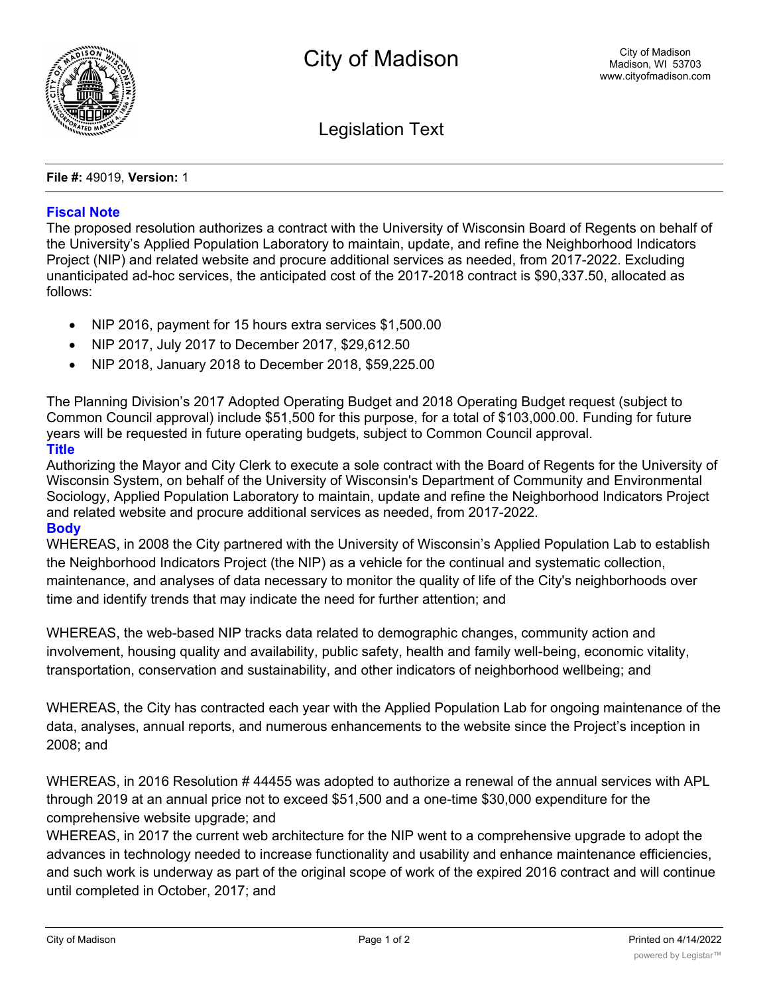

Legislation Text

**File #:** 49019, **Version:** 1

## **Fiscal Note**

The proposed resolution authorizes a contract with the University of Wisconsin Board of Regents on behalf of the University's Applied Population Laboratory to maintain, update, and refine the Neighborhood Indicators Project (NIP) and related website and procure additional services as needed, from 2017-2022. Excluding unanticipated ad-hoc services, the anticipated cost of the 2017-2018 contract is \$90,337.50, allocated as follows:

- · NIP 2016, payment for 15 hours extra services \$1,500.00
- · NIP 2017, July 2017 to December 2017, \$29,612.50
- · NIP 2018, January 2018 to December 2018, \$59,225.00

The Planning Division's 2017 Adopted Operating Budget and 2018 Operating Budget request (subject to Common Council approval) include \$51,500 for this purpose, for a total of \$103,000.00. Funding for future years will be requested in future operating budgets, subject to Common Council approval.

## **Title**

Authorizing the Mayor and City Clerk to execute a sole contract with the Board of Regents for the University of Wisconsin System, on behalf of the University of Wisconsin's Department of Community and Environmental Sociology, Applied Population Laboratory to maintain, update and refine the Neighborhood Indicators Project and related website and procure additional services as needed, from 2017-2022.

## **Body**

WHEREAS, in 2008 the City partnered with the University of Wisconsin's Applied Population Lab to establish the Neighborhood Indicators Project (the NIP) as a vehicle for the continual and systematic collection, maintenance, and analyses of data necessary to monitor the quality of life of the City's neighborhoods over time and identify trends that may indicate the need for further attention; and

WHEREAS, the web-based NIP tracks data related to demographic changes, community action and involvement, housing quality and availability, public safety, health and family well-being, economic vitality, transportation, conservation and sustainability, and other indicators of neighborhood wellbeing; and

WHEREAS, the City has contracted each year with the Applied Population Lab for ongoing maintenance of the data, analyses, annual reports, and numerous enhancements to the website since the Project's inception in 2008; and

WHEREAS, in 2016 Resolution # 44455 was adopted to authorize a renewal of the annual services with APL through 2019 at an annual price not to exceed \$51,500 and a one-time \$30,000 expenditure for the comprehensive website upgrade; and

WHEREAS, in 2017 the current web architecture for the NIP went to a comprehensive upgrade to adopt the advances in technology needed to increase functionality and usability and enhance maintenance efficiencies, and such work is underway as part of the original scope of work of the expired 2016 contract and will continue until completed in October, 2017; and